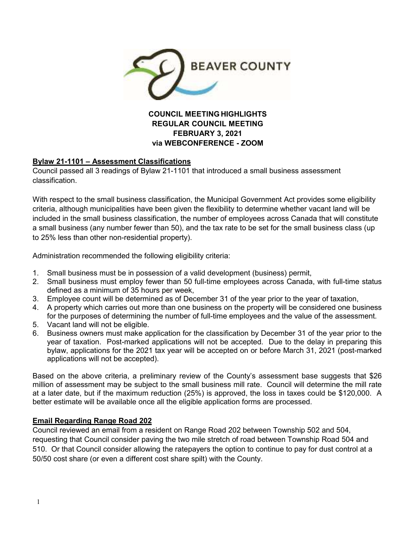

# **REGULAR COUNCIL MEETING FEBRUARY 3, 2021 via WEBCONFERENCE - ZOOM**

## **Bylaw 21-1101 – Assessment Classifications**

Council passed all 3 readings of Bylaw 21-1101 that introduced a small business assessment classification.

With respect to the small business classification, the Municipal Government Act provides some eligibility criteria, although municipalities have been given the flexibility to determine whether vacant land will be included in the small business classification, the number of employees across Canada that will constitute a small business (any number fewer than 50), and the tax rate to be set for the small business class (up to 25% less than other non-residential property).

Administration recommended the following eligibility criteria:

- 1. Small business must be in possession of a valid development (business) permit,
- 2. Small business must employ fewer than 50 full-time employees across Canada, with full-time status defined as a minimum of 35 hours per week,
- 3. Employee count will be determined as of December 31 of the year prior to the year of taxation,
- 4. A property which carries out more than one business on the property will be considered one business for the purposes of determining the number of full-time employees and the value of the assessment.
- 5. Vacant land will not be eligible.
- 6. Business owners must make application for the classification by December 31 of the year prior to the year of taxation. Post-marked applications will not be accepted. Due to the delay in preparing this bylaw, applications for the 2021 tax year will be accepted on or before March 31, 2021 (post-marked applications will not be accepted).

Based on the above criteria, a preliminary review of the County's assessment base suggests that \$26 million of assessment may be subject to the small business mill rate. Council will determine the mill rate at a later date, but if the maximum reduction (25%) is approved, the loss in taxes could be \$120,000. A better estimate will be available once all the eligible application forms are processed.

## **Email Regarding Range Road 202**

Council reviewed an email from a resident on Range Road 202 between Township 502 and 504, requesting that Council consider paving the two mile stretch of road between Township Road 504 and 510. Or that Council consider allowing the ratepayers the option to continue to pay for dust control at a 50/50 cost share (or even a different cost share spilt) with the County.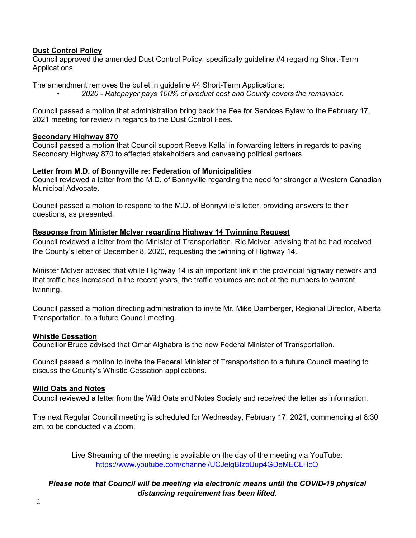## **Dust Control Policy**

Council approved the amended Dust Control Policy, specifically guideline #4 regarding Short-Term Applications.

The amendment removes the bullet in guideline #4 Short-Term Applications:

*• 2020 - Ratepayer pays 100% of product cost and County covers the remainder.* 

Council passed a motion that administration bring back the Fee for Services Bylaw to the February 17, 2021 meeting for review in regards to the Dust Control Fees.

#### **Secondary Highway 870**

Council passed a motion that Council support Reeve Kallal in forwarding letters in regards to paving Secondary Highway 870 to affected stakeholders and canvasing political partners.

### **Letter from M.D. of Bonnyville re: Federation of Municipalities**

Council reviewed a letter from the M.D. of Bonnyville regarding the need for stronger a Western Canadian Municipal Advocate.

Council passed a motion to respond to the M.D. of Bonnyville's letter, providing answers to their questions, as presented.

### **Response from Minister McIver regarding Highway 14 Twinning Request**

Council reviewed a letter from the Minister of Transportation, Ric McIver, advising that he had received the County's letter of December 8, 2020, requesting the twinning of Highway 14.

Minister McIver advised that while Highway 14 is an important link in the provincial highway network and that traffic has increased in the recent years, the traffic volumes are not at the numbers to warrant twinning.

Council passed a motion directing administration to invite Mr. Mike Damberger, Regional Director, Alberta Transportation, to a future Council meeting.

### **Whistle Cessation**

Councillor Bruce advised that Omar Alghabra is the new Federal Minister of Transportation.

Council passed a motion to invite the Federal Minister of Transportation to a future Council meeting to discuss the County's Whistle Cessation applications.

### **Wild Oats and Notes**

Council reviewed a letter from the Wild Oats and Notes Society and received the letter as information.

The next Regular Council meeting is scheduled for Wednesday, February 17, 2021, commencing at 8:30 am, to be conducted via Zoom.

> Live Streaming of the meeting is available on the day of the meeting via YouTube: https://www.youtube.com/channel/UCJelgBIzpUup4GDeMECLHcQ

## *Please note that Council will be meeting via electronic means until the COVID-19 physical distancing requirement has been lifted.*